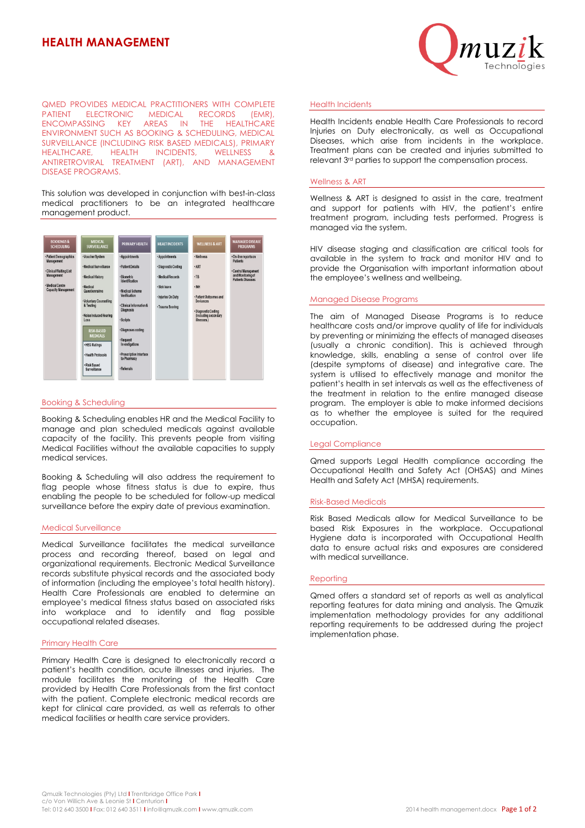# **HEALTH MANAGEMENT**



QMED PROVIDES MEDICAL PRACTITIONERS WITH COMPLETE **ELECTRONIC MEDICAL RECORDS (EMR),**<br>SSING KEY AREAS IN THE HEALTHCARE ENCOMPASSING KEY ENVIRONMENT SUCH AS BOOKING & SCHEDULING, MEDICAL SURVEILLANCE (INCLUDING RISK BASED MEDICALS), PRIMARY HEALTH INCIDENTS, WELLNESS & ANTIRETROVIRAL TREATMENT (ART), AND MANAGEMENT DISEASE PROGRAMS.

This solution was developed in conjunction with best-in-class medical practitioners to be an integrated healthcare management product.



## Booking & Scheduling

Booking & Scheduling enables HR and the Medical Facility to manage and plan scheduled medicals against available capacity of the facility. This prevents people from visiting Medical Facilities without the available capacities to supply medical services.

Booking & Scheduling will also address the requirement to flag people whose fitness status is due to expire, thus enabling the people to be scheduled for follow-up medical surveillance before the expiry date of previous examination.

#### Medical Surveillance

Medical Surveillance facilitates the medical surveillance process and recording thereof, based on legal and organizational requirements. Electronic Medical Surveillance records substitute physical records and the associated body of information (including the employee's total health history). Health Care Professionals are enabled to determine an employee's medical fitness status based on associated risks into workplace and to identify and flag possible occupational related diseases.

# Primary Health Care

Primary Health Care is designed to electronically record a patient's health condition, acute illnesses and injuries. The module facilitates the monitoring of the Health Care provided by Health Care Professionals from the first contact with the patient. Complete electronic medical records are kept for clinical care provided, as well as referrals to other medical facilities or health care service providers.

## Health Incidents

Health Incidents enable Health Care Professionals to record Injuries on Duty electronically, as well as Occupational Diseases, which arise from incidents in the workplace. Treatment plans can be created and injuries submitted to relevant 3rd parties to support the compensation process.

### Wellness & ART

Wellness & ART is designed to assist in the care, treatment and support for patients with HIV, the patient's entire treatment program, including tests performed. Progress is managed via the system.

HIV disease staging and classification are critical tools for available in the system to track and monitor HIV and to provide the Organisation with important information about the employee's wellness and wellbeing.

#### Managed Disease Programs

The aim of Managed Disease Programs is to reduce healthcare costs and/or improve quality of life for individuals by preventing or minimizing the effects of managed diseases (usually a chronic condition). This is achieved through knowledge, skills, enabling a sense of control over life (despite symptoms of disease) and integrative care. The system is utilised to effectively manage and monitor the patient's health in set intervals as well as the effectiveness of the treatment in relation to the entire managed disease program. The employer is able to make informed decisions as to whether the employee is suited for the required occupation.

# Legal Compliance

Qmed supports Legal Health compliance according the Occupational Health and Safety Act (OHSAS) and Mines Health and Safety Act (MHSA) requirements.

#### Risk-Based Medicals

Risk Based Medicals allow for Medical Surveillance to be based Risk Exposures in the workplace. Occupational Hygiene data is incorporated with Occupational Health data to ensure actual risks and exposures are considered with medical surveillance.

#### Reporting

Qmed offers a standard set of reports as well as analytical reporting features for data mining and analysis. The Qmuzik implementation methodology provides for any additional reporting requirements to be addressed during the project implementation phase.